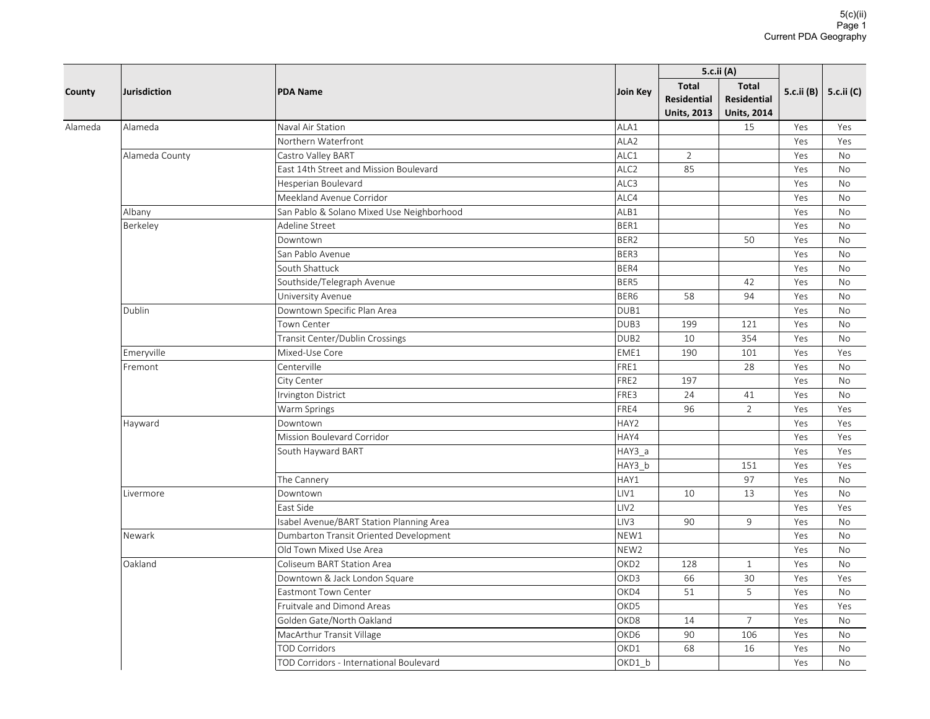| County  | <b>Jurisdiction</b> |                                           |                  | 5.c.ii (A)                                               |                                                          |            |            |
|---------|---------------------|-------------------------------------------|------------------|----------------------------------------------------------|----------------------------------------------------------|------------|------------|
|         |                     | <b>PDA Name</b>                           | Join Key         | <b>Total</b><br><b>Residential</b><br><b>Units, 2013</b> | <b>Total</b><br><b>Residential</b><br><b>Units, 2014</b> | 5.c.ii (B) | 5.c.ii (C) |
| Alameda | Alameda             | Naval Air Station                         | ALA1             |                                                          | 15                                                       | Yes        | Yes        |
|         |                     | Northern Waterfront                       | ALA <sub>2</sub> |                                                          |                                                          | Yes        | Yes        |
|         | Alameda County      | Castro Valley BART                        | ALC1             | $\overline{2}$                                           |                                                          | Yes        | No         |
|         |                     | East 14th Street and Mission Boulevard    | ALC <sub>2</sub> | 85                                                       |                                                          | Yes        | <b>No</b>  |
|         |                     | Hesperian Boulevard                       | ALC3             |                                                          |                                                          | Yes        | No         |
|         |                     | Meekland Avenue Corridor                  | ALC4             |                                                          |                                                          | Yes        | <b>No</b>  |
|         | Albany              | San Pablo & Solano Mixed Use Neighborhood | ALB1             |                                                          |                                                          | Yes        | <b>No</b>  |
|         | Berkeley            | Adeline Street                            | BER1             |                                                          |                                                          | Yes        | No         |
|         |                     | Downtown                                  | BER2             |                                                          | 50                                                       | Yes        | <b>No</b>  |
|         |                     | San Pablo Avenue                          | BER3             |                                                          |                                                          | Yes        | No         |
|         |                     | South Shattuck                            | BER4             |                                                          |                                                          | Yes        | <b>No</b>  |
|         |                     | Southside/Telegraph Avenue                | BER5             |                                                          | 42                                                       | Yes        | No         |
|         |                     | University Avenue                         | BER6             | 58                                                       | 94                                                       | Yes        | <b>No</b>  |
|         | Dublin              | Downtown Specific Plan Area               | DUB1             |                                                          |                                                          | Yes        | No         |
|         |                     | Town Center                               | DUB3             | 199                                                      | 121                                                      | Yes        | <b>No</b>  |
|         |                     | Transit Center/Dublin Crossings           | DUB <sub>2</sub> | 10                                                       | 354                                                      | Yes        | <b>No</b>  |
|         | Emeryville          | Mixed-Use Core                            | EME1             | 190                                                      | 101                                                      | Yes        | Yes        |
|         | Fremont             | Centerville                               | FRE1             |                                                          | 28                                                       | Yes        | <b>No</b>  |
|         |                     | City Center                               | FRE2             | 197                                                      |                                                          | Yes        | No         |
|         |                     | Irvington District                        | FRE3             | 24                                                       | 41                                                       | Yes        | No         |
|         |                     | Warm Springs                              | FRE4             | 96                                                       | $\overline{2}$                                           | Yes        | Yes        |
|         | Hayward             | Downtown                                  | HAY2             |                                                          |                                                          | Yes        | Yes        |
|         |                     | Mission Boulevard Corridor                | HAY4             |                                                          |                                                          | Yes        | Yes        |
|         |                     | South Hayward BART                        | HAY3 a           |                                                          |                                                          | Yes        | Yes        |
|         |                     |                                           | HAY3_b           |                                                          | 151                                                      | Yes        | Yes        |
|         |                     | The Cannery                               | HAY1             |                                                          | 97                                                       | Yes        | No         |
|         | Livermore           | Downtown                                  | LIV1             | 10                                                       | 13                                                       | Yes        | No         |
|         |                     | East Side                                 | LIV <sub>2</sub> |                                                          |                                                          | Yes        | Yes        |
|         |                     | Isabel Avenue/BART Station Planning Area  | LIV3             | 90                                                       | 9                                                        | Yes        | No         |
|         | Newark              | Dumbarton Transit Oriented Development    | NEW1             |                                                          |                                                          | Yes        | No         |
|         |                     | Old Town Mixed Use Area                   | NEW <sub>2</sub> |                                                          |                                                          | Yes        | <b>No</b>  |
|         | Oakland             | Coliseum BART Station Area                | OKD <sub>2</sub> | 128                                                      | $\mathbf{1}$                                             | Yes        | No         |
|         |                     | Downtown & Jack London Square             | OKD3             | 66                                                       | 30                                                       | Yes        | Yes        |
|         |                     | <b>Eastmont Town Center</b>               | OKD4             | 51                                                       | 5                                                        | Yes        | <b>No</b>  |
|         |                     | Fruitvale and Dimond Areas                | OKD5             |                                                          |                                                          | Yes        | Yes        |
|         |                     | Golden Gate/North Oakland                 | OKD8             | 14                                                       | $\overline{7}$                                           | Yes        | <b>No</b>  |
|         |                     | MacArthur Transit Village                 | OKD6             | 90                                                       | 106                                                      | Yes        | No         |
|         |                     | <b>TOD Corridors</b>                      | OKD1             | 68                                                       | 16                                                       | Yes        | No         |
|         |                     | TOD Corridors - International Boulevard   | OKD1_b           |                                                          |                                                          | Yes        | No         |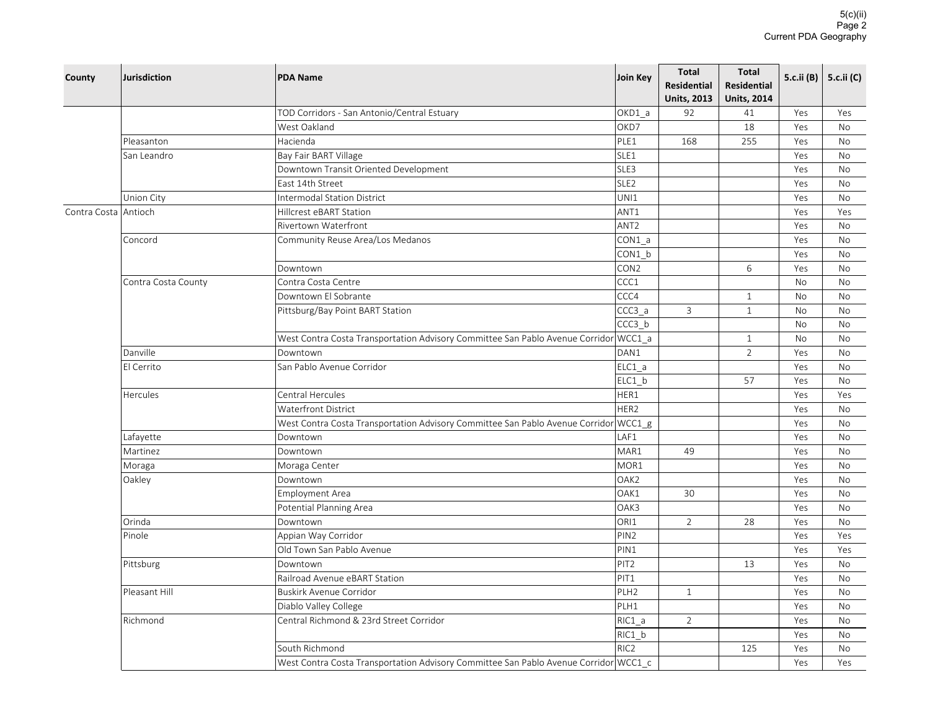| County               | Jurisdiction        | <b>PDA Name</b>                                                                      | Join Key         | <b>Total</b><br><b>Residential</b> | <b>Total</b><br><b>Residential</b> | 5.c.ii (B) | 5.c.ii (C) |
|----------------------|---------------------|--------------------------------------------------------------------------------------|------------------|------------------------------------|------------------------------------|------------|------------|
|                      |                     |                                                                                      |                  | <b>Units, 2013</b>                 | <b>Units, 2014</b>                 |            |            |
|                      |                     | TOD Corridors - San Antonio/Central Estuary                                          | OKD1_a           | 92                                 | 41                                 | Yes        | Yes        |
|                      |                     | West Oakland                                                                         | OKD7             |                                    | 18                                 | Yes        | <b>No</b>  |
|                      | Pleasanton          | Hacienda                                                                             | PLE1             | 168                                | 255                                | Yes        | <b>No</b>  |
|                      | San Leandro         | Bay Fair BART Village                                                                | SLE1             |                                    |                                    | Yes        | No         |
|                      |                     | Downtown Transit Oriented Development                                                | SLE3             |                                    |                                    | Yes        | No         |
|                      |                     | East 14th Street                                                                     | SLE <sub>2</sub> |                                    |                                    | Yes        | <b>No</b>  |
|                      | Union City          | <b>Intermodal Station District</b>                                                   | UNI1             |                                    |                                    | Yes        | No         |
| Contra Costa Antioch |                     | Hillcrest eBART Station                                                              | ANT1             |                                    |                                    | Yes        | Yes        |
|                      |                     | <b>Rivertown Waterfront</b>                                                          | ANT <sub>2</sub> |                                    |                                    | Yes        | <b>No</b>  |
|                      | Concord             | Community Reuse Area/Los Medanos                                                     | $CON1_a$         |                                    |                                    | Yes        | No         |
|                      |                     |                                                                                      | CON1 b           |                                    |                                    | Yes        | No         |
|                      |                     | Downtown                                                                             | CON2             |                                    | 6                                  | Yes        | No         |
|                      | Contra Costa County | Contra Costa Centre                                                                  | CCC1             |                                    |                                    | No         | No         |
|                      |                     | Downtown El Sobrante                                                                 | CCC4             |                                    | $\mathbf{1}$                       | No         | No         |
|                      |                     | Pittsburg/Bay Point BART Station                                                     | CCC3 a           | $\mathbf{3}$                       | $\mathbf{1}$                       | No         | No         |
|                      |                     |                                                                                      | CCC3_b           |                                    |                                    | No         | No         |
|                      |                     | West Contra Costa Transportation Advisory Committee San Pablo Avenue Corridor WCC1_a |                  |                                    | $\mathbf{1}$                       | No         | No         |
|                      | Danville            | Downtown                                                                             | DAN1             |                                    | $\overline{2}$                     | Yes        | <b>No</b>  |
|                      | El Cerrito          | San Pablo Avenue Corridor                                                            | $ELC1_a$         |                                    |                                    | Yes        | <b>No</b>  |
|                      |                     |                                                                                      | $ELC1_b$         |                                    | 57                                 | Yes        | No         |
|                      | <b>Hercules</b>     | Central Hercules                                                                     | HER1             |                                    |                                    | Yes        | Yes        |
|                      |                     | <b>Waterfront District</b>                                                           | HER2             |                                    |                                    | Yes        | <b>No</b>  |
|                      |                     | West Contra Costa Transportation Advisory Committee San Pablo Avenue Corridor WCC1_g |                  |                                    |                                    | Yes        | No         |
|                      | Lafayette           | Downtown                                                                             | LAF1             |                                    |                                    | Yes        | No         |
|                      | Martinez            | Downtown                                                                             | MAR1             | 49                                 |                                    | Yes        | <b>No</b>  |
|                      | Moraga              | Moraga Center                                                                        | MOR1             |                                    |                                    | Yes        | No         |
|                      | Oakley              | Downtown                                                                             | OAK2             |                                    |                                    | Yes        | No         |
|                      |                     | <b>Employment Area</b>                                                               | OAK1             | 30                                 |                                    | Yes        | No         |
|                      |                     | Potential Planning Area                                                              | OAK3             |                                    |                                    | Yes        | No         |
|                      | Orinda              | Downtown                                                                             | ORI1             | $\overline{2}$                     | 28                                 | Yes        | No         |
|                      | Pinole              | Appian Way Corridor                                                                  | PIN <sub>2</sub> |                                    |                                    | Yes        | Yes        |
|                      |                     | Old Town San Pablo Avenue                                                            | PIN1             |                                    |                                    | Yes        | Yes        |
|                      | Pittsburg           | Downtown                                                                             | PIT <sub>2</sub> |                                    | 13                                 | Yes        | No         |
|                      |                     | Railroad Avenue eBART Station                                                        | PIT1             |                                    |                                    | Yes        | No         |
|                      | Pleasant Hill       | <b>Buskirk Avenue Corridor</b>                                                       | PLH <sub>2</sub> | $\mathbf{1}$                       |                                    | Yes        | No         |
|                      |                     | Diablo Valley College                                                                | PLH1             |                                    |                                    | Yes        | No         |
|                      | Richmond            | Central Richmond & 23rd Street Corridor                                              | RIC1 a           | $\overline{2}$                     |                                    | Yes        | No         |
|                      |                     |                                                                                      | RIC1_b           |                                    |                                    | Yes        | No         |
|                      |                     | South Richmond                                                                       | RIC <sub>2</sub> |                                    | 125                                | Yes        | No         |
|                      |                     | West Contra Costa Transportation Advisory Committee San Pablo Avenue Corridor WCC1_c |                  |                                    |                                    | Yes        | Yes        |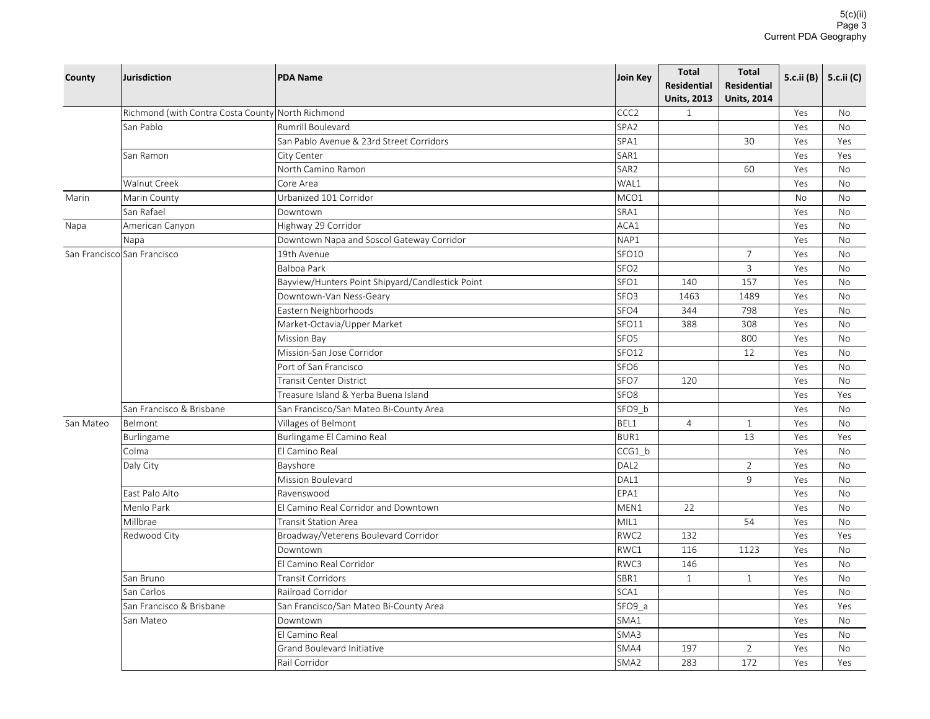| County    | Jurisdiction                                      | <b>PDA Name</b>                                  | Join Key         | <b>Total</b><br><b>Residential</b><br><b>Units, 2013</b> | <b>Total</b><br>Residential<br><b>Units, 2014</b> |           | 5.c.ii (B) 5.c.ii (C) |
|-----------|---------------------------------------------------|--------------------------------------------------|------------------|----------------------------------------------------------|---------------------------------------------------|-----------|-----------------------|
|           | Richmond (with Contra Costa County North Richmond |                                                  | CCC <sub>2</sub> | $\mathbf{1}$                                             |                                                   | Yes       | No                    |
|           | San Pablo                                         | <b>Rumrill Boulevard</b>                         | SPA <sub>2</sub> |                                                          |                                                   | Yes       | <b>No</b>             |
|           |                                                   | San Pablo Avenue & 23rd Street Corridors         | SPA1             |                                                          | 30                                                | Yes       | Yes                   |
|           | San Ramon                                         | City Center                                      | SAR1             |                                                          |                                                   | Yes       | Yes                   |
|           |                                                   | North Camino Ramon                               | SAR2             |                                                          | 60                                                | Yes       | <b>No</b>             |
|           | Walnut Creek                                      | Core Area                                        | WAL1             |                                                          |                                                   | Yes       | No                    |
| Marin     | Marin County                                      | Urbanized 101 Corridor                           | MCO1             |                                                          |                                                   | <b>No</b> | <b>No</b>             |
|           | San Rafael                                        | Downtown                                         | SRA1             |                                                          |                                                   | Yes       | No                    |
| Napa      | American Canyon                                   | Highway 29 Corridor                              | ACA1             |                                                          |                                                   | Yes       | <b>No</b>             |
|           | Napa                                              | Downtown Napa and Soscol Gateway Corridor        | NAP1             |                                                          |                                                   | Yes       | <b>No</b>             |
|           | San Francisco San Francisco                       | 19th Avenue                                      | SFO10            |                                                          | $\overline{7}$                                    | Yes       | No                    |
|           |                                                   | Balboa Park                                      | SFO <sub>2</sub> |                                                          | $\overline{3}$                                    | Yes       | No                    |
|           |                                                   | Bayview/Hunters Point Shipyard/Candlestick Point | SFO1             | 140                                                      | 157                                               | Yes       | <b>No</b>             |
|           |                                                   | Downtown-Van Ness-Geary                          | SFO <sub>3</sub> | 1463                                                     | 1489                                              | Yes       | <b>No</b>             |
|           |                                                   | Eastern Neighborhoods                            | SFO4             | 344                                                      | 798                                               | Yes       | No                    |
|           |                                                   | Market-Octavia/Upper Market                      | SFO11            | 388                                                      | 308                                               | Yes       | No                    |
|           |                                                   | <b>Mission Bay</b>                               | SFO <sub>5</sub> |                                                          | 800                                               | Yes       | <b>No</b>             |
|           |                                                   | Mission-San Jose Corridor                        | SFO12            |                                                          | 12                                                | Yes       | No                    |
|           |                                                   | Port of San Francisco                            | SFO <sub>6</sub> |                                                          |                                                   | Yes       | <b>No</b>             |
|           |                                                   | Transit Center District                          | SFO7             | 120                                                      |                                                   | Yes       | No                    |
|           |                                                   | Treasure Island & Yerba Buena Island             | SFO <sub>8</sub> |                                                          |                                                   | Yes       | Yes                   |
|           | San Francisco & Brisbane                          | San Francisco/San Mateo Bi-County Area           | SFO9_b           |                                                          |                                                   | Yes       | No                    |
| San Mateo | Belmont                                           | Villages of Belmont                              | BEL1             | $\overline{4}$                                           | 1                                                 | Yes       | No                    |
|           | Burlingame                                        | Burlingame El Camino Real                        | BUR1             |                                                          | 13                                                | Yes       | Yes                   |
|           | Colma                                             | El Camino Real                                   | CCG1_b           |                                                          |                                                   | Yes       | No                    |
|           | Daly City                                         | Bayshore                                         | DAL <sub>2</sub> |                                                          | 2                                                 | Yes       | No                    |
|           |                                                   | Mission Boulevard                                | DAL1             |                                                          | 9                                                 | Yes       | <b>No</b>             |
|           | East Palo Alto                                    | Ravenswood                                       | EPA1             |                                                          |                                                   | Yes       | No                    |
|           | Menlo Park                                        | El Camino Real Corridor and Downtown             | MEN1             | 22                                                       |                                                   | Yes       | <b>No</b>             |
|           | Millbrae                                          | <b>Transit Station Area</b>                      | MIL1             |                                                          | 54                                                | Yes       | <b>No</b>             |
|           | Redwood City                                      | Broadway/Veterens Boulevard Corridor             | RWC2             | 132                                                      |                                                   | Yes       | Yes                   |
|           |                                                   | Downtown                                         | RWC1             | 116                                                      | 1123                                              | Yes       | <b>No</b>             |
|           |                                                   | El Camino Real Corridor                          | RWC3             | 146                                                      |                                                   | Yes       | <b>No</b>             |
|           | San Bruno                                         | Transit Corridors                                | SBR1             | $\mathbf{1}$                                             | $\mathbf{1}$                                      | Yes       | No                    |
|           | San Carlos                                        | Railroad Corridor                                | SCA1             |                                                          |                                                   | Yes       | No                    |
|           | San Francisco & Brisbane                          | San Francisco/San Mateo Bi-County Area           | SFO9 a           |                                                          |                                                   | Yes       | Yes                   |
|           | San Mateo                                         | Downtown                                         | SMA1             |                                                          |                                                   | Yes       | No                    |
|           |                                                   | El Camino Real                                   | SMA3             |                                                          |                                                   | Yes       | <b>No</b>             |
|           |                                                   | Grand Boulevard Initiative                       | SMA4             | 197                                                      | $\overline{2}$                                    | Yes       | No                    |
|           |                                                   | Rail Corridor                                    | SMA <sub>2</sub> | 283                                                      | 172                                               | Yes       | Yes                   |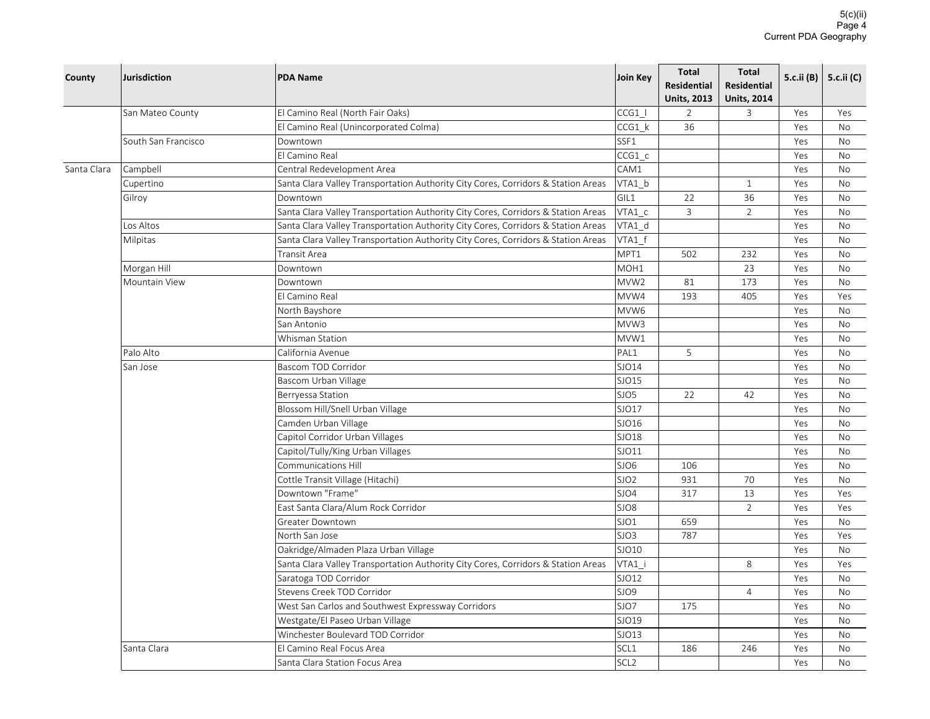| County      | Jurisdiction                 | <b>PDA Name</b>                                                                                                                                                        | Join Key         | <b>Total</b><br><b>Residential</b> | <b>Total</b><br><b>Residential</b> | 5.c.ii (B) | 5.c.ii (C) |
|-------------|------------------------------|------------------------------------------------------------------------------------------------------------------------------------------------------------------------|------------------|------------------------------------|------------------------------------|------------|------------|
|             |                              |                                                                                                                                                                        |                  | <b>Units, 2013</b>                 | <b>Units, 2014</b>                 |            |            |
|             | San Mateo County             | El Camino Real (North Fair Oaks)                                                                                                                                       | CCG1             | $\overline{2}$<br>36               | $\overline{3}$                     | Yes        | Yes        |
|             |                              | El Camino Real (Unincorporated Colma)                                                                                                                                  | CCG1 k           |                                    |                                    | Yes        | <b>No</b>  |
|             | South San Francisco          | Downtown<br>El Camino Real                                                                                                                                             | SSF1             |                                    |                                    | Yes        | <b>No</b>  |
|             |                              |                                                                                                                                                                        | CCG1 c           |                                    |                                    | Yes        | No         |
| Santa Clara | Campbell                     | Central Redevelopment Area                                                                                                                                             | CAM1             |                                    |                                    | Yes        | No         |
|             | Cupertino                    | Santa Clara Valley Transportation Authority City Cores, Corridors & Station Areas                                                                                      | VTA1 b           |                                    | $\mathbf{1}$<br>36                 | Yes        | <b>No</b>  |
|             | Gilroy                       | Downtown                                                                                                                                                               | GIL1             | 22<br>$\overline{3}$               | 2                                  | Yes<br>Yes | No<br>No   |
|             | Los Altos                    | Santa Clara Valley Transportation Authority City Cores, Corridors & Station Areas<br>Santa Clara Valley Transportation Authority City Cores, Corridors & Station Areas | VTA1 c<br>VTA1 d |                                    |                                    | Yes        | <b>No</b>  |
|             | Milpitas                     | Santa Clara Valley Transportation Authority City Cores, Corridors & Station Areas                                                                                      | VTA1 f           |                                    |                                    | Yes        | No         |
|             |                              | Transit Area                                                                                                                                                           | MPT1             | 502                                | 232                                | Yes        | No         |
|             |                              | Downtown                                                                                                                                                               | MOH1             |                                    | 23                                 | Yes        | No         |
|             | Morgan Hill<br>Mountain View | Downtown                                                                                                                                                               | MVW <sub>2</sub> | 81                                 | 173                                | Yes        | No         |
|             |                              | El Camino Real                                                                                                                                                         | MVW4             | 193                                | 405                                | Yes        | Yes        |
|             |                              | North Bayshore                                                                                                                                                         | MVW6             |                                    |                                    | Yes        | No         |
|             |                              | San Antonio                                                                                                                                                            | MVW3             |                                    |                                    | Yes        | No         |
|             |                              | Whisman Station                                                                                                                                                        | MVW1             |                                    |                                    | Yes        | No         |
|             | Palo Alto                    | California Avenue                                                                                                                                                      | PAL1             | 5                                  |                                    | Yes        | No         |
|             | San Jose                     | Bascom TOD Corridor                                                                                                                                                    | SJO14            |                                    |                                    | Yes        | <b>No</b>  |
|             |                              | Bascom Urban Village                                                                                                                                                   | SJO15            |                                    |                                    | Yes        | No         |
|             |                              | Berryessa Station                                                                                                                                                      | SJO5             | 22                                 | 42                                 | Yes        | <b>No</b>  |
|             |                              | Blossom Hill/Snell Urban Village                                                                                                                                       | SJO17            |                                    |                                    | Yes        | <b>No</b>  |
|             |                              | Camden Urban Village                                                                                                                                                   | SJO16            |                                    |                                    | Yes        | No         |
|             |                              | Capitol Corridor Urban Villages                                                                                                                                        | SJO18            |                                    |                                    | Yes        | No         |
|             |                              | Capitol/Tully/King Urban Villages                                                                                                                                      | SJO11            |                                    |                                    | Yes        | No         |
|             |                              | Communications Hill                                                                                                                                                    | SJO6             | 106                                |                                    | Yes        | No         |
|             |                              | Cottle Transit Village (Hitachi)                                                                                                                                       | SJO <sub>2</sub> | 931                                | 70                                 | Yes        | No         |
|             |                              | Downtown "Frame"                                                                                                                                                       | SJO4             | 317                                | 13                                 | Yes        | Yes        |
|             |                              | East Santa Clara/Alum Rock Corridor                                                                                                                                    | SJO8             |                                    | $\overline{2}$                     | Yes        | Yes        |
|             |                              | Greater Downtown                                                                                                                                                       | SJO1             | 659                                |                                    | Yes        | No         |
|             |                              | North San Jose                                                                                                                                                         | SJO3             | 787                                |                                    | Yes        | Yes        |
|             |                              | Oakridge/Almaden Plaza Urban Village                                                                                                                                   | SJO10            |                                    |                                    | Yes        | No         |
|             |                              | Santa Clara Valley Transportation Authority City Cores, Corridors & Station Areas                                                                                      | VTA1_i           |                                    | 8                                  | Yes        | Yes        |
|             |                              | Saratoga TOD Corridor                                                                                                                                                  | SJO12            |                                    |                                    | Yes        | No         |
|             |                              | Stevens Creek TOD Corridor                                                                                                                                             | SJO9             |                                    | $\overline{4}$                     | Yes        | No         |
|             |                              | West San Carlos and Southwest Expressway Corridors                                                                                                                     | SJO7             | 175                                |                                    | Yes        | No         |
|             |                              | Westgate/El Paseo Urban Village                                                                                                                                        | SJO19            |                                    |                                    | Yes        | No         |
|             |                              | Winchester Boulevard TOD Corridor                                                                                                                                      | SJO13            |                                    |                                    | Yes        | No         |
|             | Santa Clara                  | El Camino Real Focus Area                                                                                                                                              | SCL1             | 186                                | 246                                | Yes        | No         |
|             |                              | Santa Clara Station Focus Area                                                                                                                                         | SCL <sub>2</sub> |                                    |                                    | Yes        | <b>No</b>  |